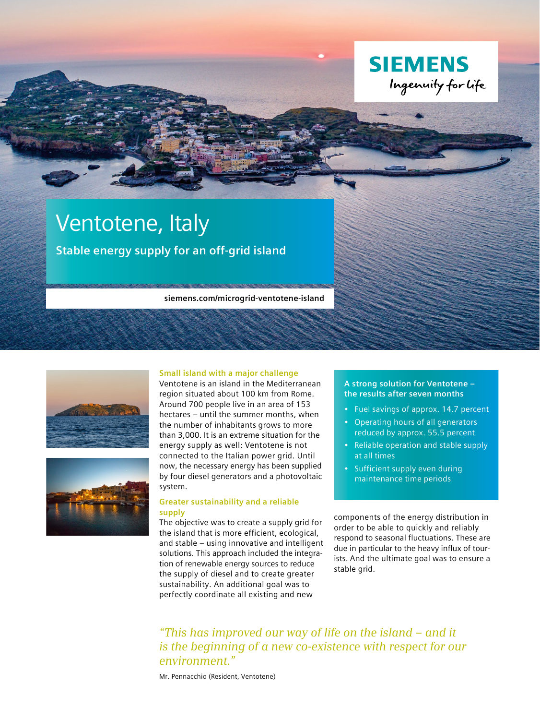

# Ventotene, Italy

**Stable energy supply for an off-grid island** 

**siemens.com/microgrid-ventotene-island**





#### **Small island with a major challenge**

Ventotene is an island in the Mediterranean region situated about 100 km from Rome. Around 700 people live in an area of 153 hectares – until the summer months, when the number of inhabitants grows to more than 3,000. It is an extreme situation for the energy supply as well: Ventotene is not connected to the Italian power grid. Until now, the necessary energy has been supplied by four diesel generators and a photovoltaic system.

# **Greater sustainability and a reliable supply**

The objective was to create a supply grid for the island that is more efficient, ecological, and stable – using innovative and intelligent solutions. This approach included the integration of renewable energy sources to reduce the supply of diesel and to create greater sustainability. An additional goal was to perfectly coordinate all existing and new

# **A strong solution for Ventotene – the results after seven months**

- Fuel savings of approx. 14.7 percent
- Operating hours of all generators reduced by approx. 55.5 percent
- Reliable operation and stable supply at all times
- Sufficient supply even during maintenance time periods

components of the energy distribution in order to be able to quickly and reliably respond to seasonal fluctuations. These are due in particular to the heavy influx of tourists. And the ultimate goal was to ensure a stable grid.

*"This has improved our way of life on the island – and it is the beginning of a new co-existence with respect for our environment."*

Mr. Pennacchio (Resident, Ventotene)